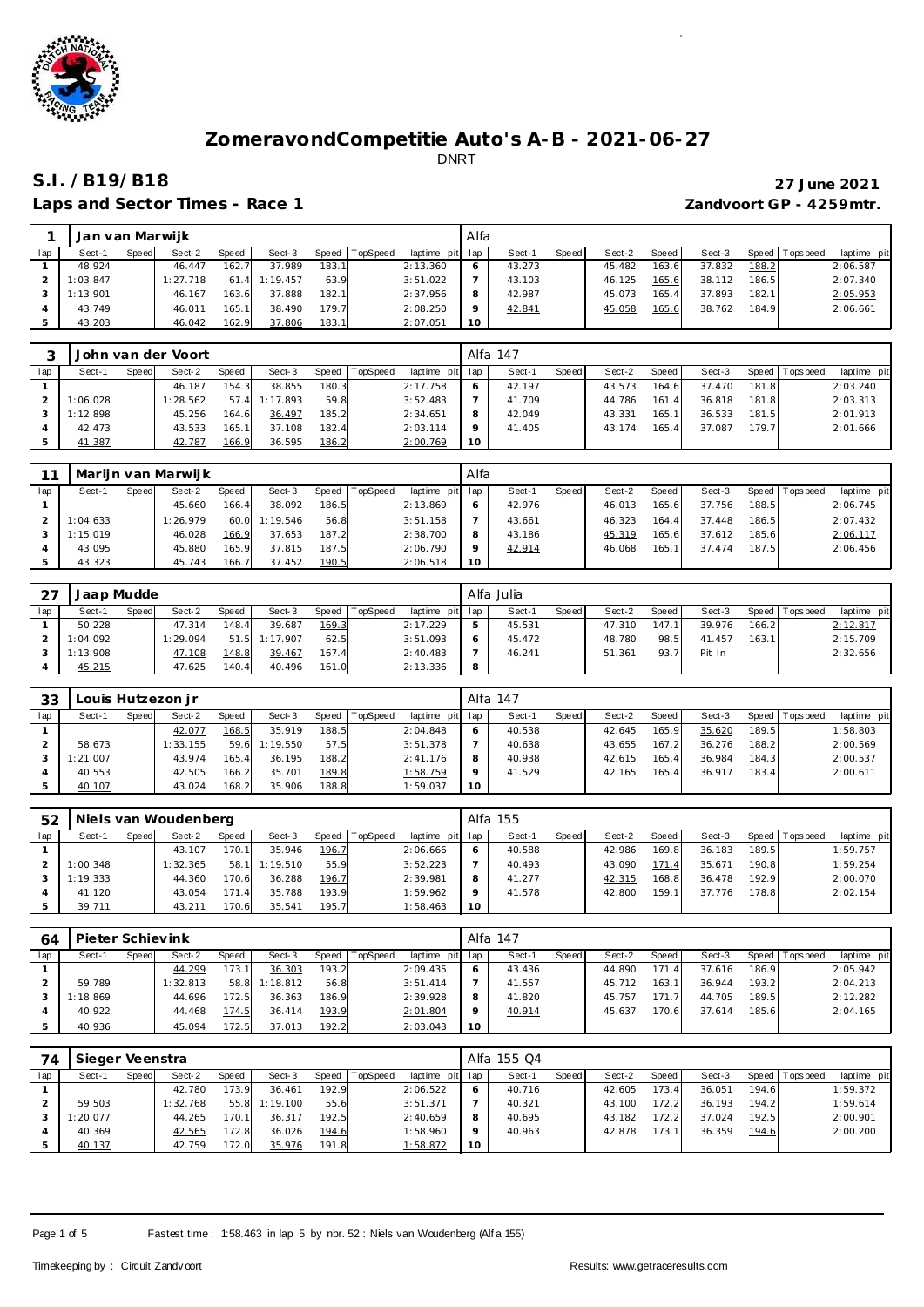

Laps and Sector Times - Race 1 *Zandvoort GP - 4259mtr.* 

# **S.I. /B19/B18 27 June 2021**

|     | Jan van Marwijk |       |          |       |          |       |                  |             | Alfa    |        |       |        |       |        |       |                 |             |
|-----|-----------------|-------|----------|-------|----------|-------|------------------|-------------|---------|--------|-------|--------|-------|--------|-------|-----------------|-------------|
| lap | Sect-1          | Speed | Sect-2   | Speed | Sect-3   |       | Speed   TopSpeed | laptime pit | lap     | Sect-  | Speed | Sect-2 | Speed | Sect-3 |       | Speed Tops peed | laptime pit |
|     | 48.924          |       | 46.447   | 162.7 | 37.989   | 183.1 |                  | 2:13.360    | O       | 43.273 |       | 45.482 | 163.6 | 37.832 | 188.2 |                 | 2:06.587    |
|     | 1:03.847        |       | 1:27.718 | 61.4  | 1:19.457 | 63.9  |                  | 3:51.022    |         | 43.103 |       | 46.125 | 165.6 | 38.112 | 186.5 |                 | 2:07.340    |
|     | 1:13.901        |       | 46.167   | 163.6 | 37.888   | 182.1 |                  | 2:37.956    | 8       | 42.987 |       | 45.073 | 165.4 | 37.893 | 182.1 |                 | 2:05.953    |
|     | 43.749          |       | 46.011   | 165.1 | 38.490   | 179.7 |                  | 2:08.250    | $\circ$ | 42.841 |       | 45.058 | 165.6 | 38.762 | 184.9 |                 | 2:06.661    |
|     | 43.203          |       | 46.042   | 162.9 | 37.806   | 183.1 |                  | 2:07.051    | 10      |        |       |        |       |        |       |                 |             |

|     |          |       | John van der Voort |       |               |       |          |                 |    | Alfa 147 |       |        |       |        |       |                 |             |
|-----|----------|-------|--------------------|-------|---------------|-------|----------|-----------------|----|----------|-------|--------|-------|--------|-------|-----------------|-------------|
| lap | Sect-1   | Speed | Sect-2             | Speed | Sect-3        | Speed | TopSpeed | laptime pit lap |    | Sect-1   | Speed | Sect-2 | Speed | Sect-3 |       | Speed Tops peed | laptime pit |
|     |          |       | 46.187             | 154.3 | 38.855        | 180.3 |          | 2:17.758        |    | 42.197   |       | 43.573 | 164.6 | 37.470 | 181.8 |                 | 2:03.240    |
|     | 1:06.028 |       | 1:28.562           |       | 57.4 1:17.893 | 59.8  |          | 3:52.483        |    | 41.709   |       | 44.786 | 161.4 | 36.818 | 181.8 |                 | 2:03.313    |
|     | 1:12.898 |       | 45.256             | 164.6 | 36.497        | 185.2 |          | 2:34.651        |    | 42.049   |       | 43.331 | 165.1 | 36.533 | 181.5 |                 | 2:01.913    |
|     | 42.473   |       | 43.533             | 165.1 | 37.108        | 182.4 |          | 2:03.114        |    | 41.405   |       | 43.174 | 165.4 | 37.087 | 179.7 |                 | 2:01.666    |
|     | 41.387   |       | 42.787             | 166.9 | 36.595        | 186.2 |          | 2:00.769        | 10 |          |       |        |       |        |       |                 |             |

|     |          |       | Marijn van Marwijk |       |          |       |          |                 | Alfa    |        |       |        |       |        |       |                 |             |
|-----|----------|-------|--------------------|-------|----------|-------|----------|-----------------|---------|--------|-------|--------|-------|--------|-------|-----------------|-------------|
| lap | Sect-1   | Speed | Sect-2             | Speed | Sect-3   | Speed | TopSpeed | laptime pit lap |         | Sect-1 | Speed | Sect-2 | Speed | Sect-3 |       | Speed Tops peed | laptime pit |
|     |          |       | 45.660             | 166.4 | 38.092   | 186.5 |          | 2:13.869        | $\circ$ | 42.976 |       | 46.013 | 165.6 | 37.756 | 188.5 |                 | 2:06.745    |
|     | 1:04.633 |       | 1:26.979           | 60.0  | 1:19.546 | 56.8  |          | 3:51.158        |         | 43.661 |       | 46.323 | 164.4 | 37.448 | 186.5 |                 | 2:07.432    |
|     | 1:15.019 |       | 46.028             | 166.9 | 37.653   | 187.2 |          | 2:38.700        | 8       | 43.186 |       | 45.319 | 165.6 | 37.612 | 185.6 |                 | 2:06.117    |
|     | 43.095   |       | 45.880             | 165.9 | 37.815   | 187.5 |          | 2:06.790        | $\circ$ | 42.914 |       | 46.068 | 165.1 | 37.474 | 187.5 |                 | 2:06.456    |
|     | 43.323   |       | 45.743             | 166.7 | 37.452   | 190.5 |          | 2:06.518        | 10      |        |       |        |       |        |       |                 |             |

| $2^7$ | Jaap Mudde |       |          |       |          |         |                 |                 | Alfa Julia |       |        |         |        |       |                   |             |
|-------|------------|-------|----------|-------|----------|---------|-----------------|-----------------|------------|-------|--------|---------|--------|-------|-------------------|-------------|
| lap   | Sect-1     | Speed | Sect-2   | Speed | Sect-3   | Speed T | <b>TopSpeed</b> | laptime pit lap | Sect-1     | Speed | Sect-2 | Speed i | Sect-3 |       | Speed   Tops peed | laptime pit |
|       | 50.228     |       | 47.314   | 148.4 | 39.687   | 169.3   |                 | 2:17.229        | 45.531     |       | 47.310 | 147.1   | 39.976 | 166.2 |                   | 2:12.817    |
|       | 1:04.092   |       | 1:29.094 | 51.5  | 1:17.907 | 62.5    |                 | 3:51.093        | 45.472     |       | 48.780 | 98.5    | 41.457 | 163.1 |                   | 2:15.709    |
|       | 1:13.908   |       | 47.108   | 148.8 | 39.467   | 167.4   |                 | 2:40.483        | 46.241     |       | 51.361 | 93.7    | Pit In |       |                   | 2:32.656    |
|       | 45.215     |       | 47.625   | 140.4 | 40.496   | 161.0   |                 | 2:13.336        |            |       |        |         |        |       |                   |             |

| 33  |          |       | Louis Hutzezon jr |       |          |       |          |                 |         | - Alfa 147 |              |        |        |        |       |                   |             |
|-----|----------|-------|-------------------|-------|----------|-------|----------|-----------------|---------|------------|--------------|--------|--------|--------|-------|-------------------|-------------|
| lap | Sect-1   | Speed | Sect-2            | Speed | Sect-3   | Speed | TopSpeed | laptime pit lap |         | Sect-1     | <b>Speed</b> | Sect-2 | Speed  | Sect-3 |       | Speed   Tops peed | laptime pit |
|     |          |       | 42.077            | 168.5 | 35.919   | 188.5 |          | 2:04.848        |         | 40.538     |              | 42.645 | 165.9  | 35.620 | 189.5 |                   | 1:58.803    |
|     | 58.673   |       | 1:33.155          | 59.6  | 1:19.550 | 57.5  |          | 3:51.378        |         | 40.638     |              | 43.655 | 167.2  | 36.276 | 188.2 |                   | 2:00.569    |
|     | 1:21.007 |       | 43.974            | 165.4 | 36.195   | 188.2 |          | 2:41.176        | 8       | 40.938     |              | 42.615 | 165.41 | 36.984 | 184.3 |                   | 2:00.537    |
|     | 40.553   |       | 42.505            | 166.2 | 35.701   | 189.8 |          | 1:58.759        | $\circ$ | 41.529     |              | 42.165 | 165.4  | 36.917 | 183.4 |                   | 2:00.611    |
|     | 40.107   |       | 43.024            | 168.2 | 35.906   | 188.8 |          | 1:59.037        | 10      |            |              |        |        |        |       |                   |             |

| 52  |          |       | Niels van Woudenberg |       |          |       |          |                 |                 | Alfa 155 |              |        |        |        |       |                   |             |
|-----|----------|-------|----------------------|-------|----------|-------|----------|-----------------|-----------------|----------|--------------|--------|--------|--------|-------|-------------------|-------------|
| lap | Sect-1   | Speed | Sect-2               | Speed | Sect-3   | Speed | TopSpeed | laptime pit lap |                 | Sect-1   | <b>Speed</b> | Sect-2 | Speed  | Sect-3 |       | Speed   Tops peed | laptime pit |
|     |          |       | 43.107               | 170.1 | 35.946   | 196.7 |          | 2:06.666        |                 | 40.588   |              | 42.986 | 169.8  | 36.183 | 189.5 |                   | 1:59.757    |
|     | 1:00.348 |       | 1:32.365             | 58.1  | 1:19.510 | 55.9  |          | 3:52.223        |                 | 40.493   |              | 43.090 | 171.4  | 35.671 | 190.8 |                   | 1:59.254    |
|     | 1:19.333 |       | 44.360               | 170.6 | 36.288   | 196.7 |          | 2:39.981        | 8               | 41.277   |              | 42.315 | 168.8  | 36.478 | 192.9 |                   | 2:00.070    |
|     | 41.120   |       | 43.054               | 171.4 | 35.788   | 193.9 |          | 1:59.962        |                 | 41.578   |              | 42.800 | 159.1. | 37.776 | 178.8 |                   | 2:02.154    |
|     | 39.711   |       | 43.211               | 170.6 | 35.541   | 195.7 |          | 1:58.463        | 10 <sup>°</sup> |          |              |        |        |        |       |                   |             |

| 64  | Pieter Schievink |       |          |       |          |         |                 |                 |    | Alfa 147 |       |        |       |        |       |                   |             |
|-----|------------------|-------|----------|-------|----------|---------|-----------------|-----------------|----|----------|-------|--------|-------|--------|-------|-------------------|-------------|
| lap | Sect-1           | Speed | Sect-2   | Speed | Sect-3   | Speed T | <b>TopSpeed</b> | laptime pit lap |    | Sect-1   | Speed | Sect-2 | Speed | Sect-3 |       | Speed   Tops peed | laptime pit |
|     |                  |       | 44.299   | 173.1 | 36.303   | 193.2   |                 | 2:09.435        |    | 43.436   |       | 44.890 | 171   | 37.616 | 186.9 |                   | 2:05.942    |
|     | 59.789           |       | 1:32.813 | 58.8  | 1:18.812 | 56.8    |                 | 3:51.414        |    | 41.557   |       | 45.712 | 163.1 | 36.944 | 193.2 |                   | 2:04.213    |
|     | 1:18.869         |       | 44.696   | 172.5 | 36.363   | 186.9   |                 | 2:39.928        | 8  | 41.820   |       | 45.757 | 171   | 44.705 | 189.5 |                   | 2:12.282    |
|     | 40.922           |       | 44.468   | 174.5 | 36.414   | 193.9   |                 | 2:01.804        |    | 40.914   |       | 45.637 | 70.6  | 37.614 | 185.6 |                   | 2:04.165    |
|     | 40.936           |       | 45.094   | 172.5 | 37.013   | 192.2   |                 | 2:03.043        | 10 |          |       |        |       |        |       |                   |             |

| 74  | Sieger Veenstra |       |          |       |          |         |                 |                 |         | Alfa 155 Q4 |       |        |       |        |       |                 |             |
|-----|-----------------|-------|----------|-------|----------|---------|-----------------|-----------------|---------|-------------|-------|--------|-------|--------|-------|-----------------|-------------|
| lap | Sect-1          | Speed | Sect-2   | Speed | Sect-3   | Speed T | <b>TopSpeed</b> | laptime pit lap |         | Sect-1      | Speed | Sect-2 | Speed | Sect-3 |       | Speed Tops peed | laptime pit |
|     |                 |       | 42.780   | 173.9 | 36.461   | 192.9   |                 | 2:06.522        |         | 40.716      |       | 42.605 | 173.4 | 36.051 | 194.6 |                 | 1:59.372    |
|     | 59.503          |       | 1:32.768 | 55.8  | 1:19.100 | 55.6    |                 | 3:51.371        |         | 40.321      |       | 43.100 | 172.2 | 36.193 | 194.2 |                 | 1:59.614    |
|     | 1:20.077        |       | 44.265   | 170.1 | 36.317   | 192.5   |                 | 2:40.659        |         | 40.695      |       | 43.182 | 172.2 | 37.024 | 192.5 |                 | 2:00.901    |
|     | 40.369          |       | 42.565   | 172.8 | 36.026   | 194.6   |                 | 1:58.960        | $\circ$ | 40.963      |       | 42.878 | 173.1 | 36.359 | 194.6 |                 | 2:00.200    |
|     | 40.137          |       | 42.759   | 172.0 | 35.976   | 191.8   |                 | 1:58.872        | 10      |             |       |        |       |        |       |                 |             |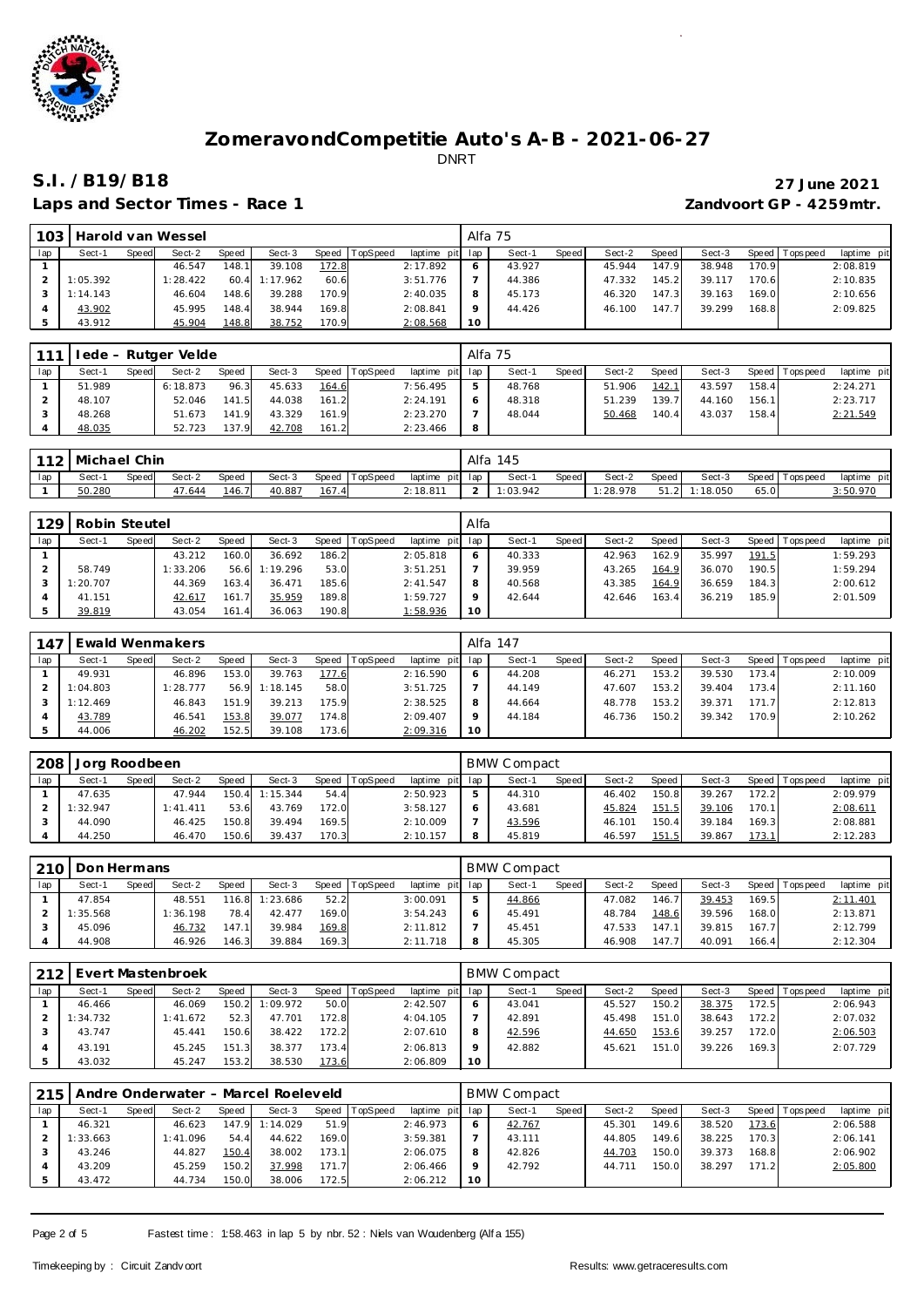

### Laps and Sector Times - Race 1 *Zandvoort GP - 4259mtr.*

# **S.I. /B19/B18 27 June 2021**

| 103 |          |       | Harold van Wessel |       |          |       |                 |             | Alfa 75 |        |       |        |       |        |       |                   |             |
|-----|----------|-------|-------------------|-------|----------|-------|-----------------|-------------|---------|--------|-------|--------|-------|--------|-------|-------------------|-------------|
| lap | Sect-1   | Speed | Sect-2            | Speed | Sect-3   | Speed | <b>TopSpeed</b> | laptime pit | lap     | Sect-1 | Speed | Sect-2 | Speed | Sect-3 |       | Speed   Tops peed | laptime pit |
|     |          |       | 46.547            | 148.1 | 39.108   | 172.8 |                 | 2:17.892    |         | 43.927 |       | 45.944 | 147.9 | 38.948 | 170.9 |                   | 2:08.819    |
|     | 1:05.392 |       | 1:28.422          | 60.4  | 1:17.962 | 60.6  |                 | 3:51.776    |         | 44.386 |       | 47.332 | 145.2 | 39.1   | 170.6 |                   | 2:10.835    |
|     | 1:14.143 |       | 46.604            | 148.6 | 39.288   | 170.9 |                 | 2:40.035    | 8       | 45.173 |       | 46.320 | 147.  | 39.163 | 169.0 |                   | 2:10.656    |
|     | 43.902   |       | 45.995            | 148.4 | 38.944   | 169.8 |                 | 2:08.841    |         | 44.426 |       | 46.100 | 147   | 39.299 | 168.8 |                   | 2:09.825    |
|     | 43.912   |       | 45.904            | 148.8 | 38.752   | 170.9 |                 | 2:08.568    | 10      |        |       |        |       |        |       |                   |             |

| 111 |        |       | lede - Rutger Velde |       |        |       |          |                 |    | Alfa 75 |       |        |       |        |       |                 |             |
|-----|--------|-------|---------------------|-------|--------|-------|----------|-----------------|----|---------|-------|--------|-------|--------|-------|-----------------|-------------|
| lap | Sect-1 | Speed | Sect-2              | Speed | Sect-3 | Speed | TopSpeed | laptime pit lap |    | Sect-1  | Speed | Sect-2 | Speed | Sect-3 |       | Speed Tops peed | laptime pit |
|     | 51.989 |       | 6:18.873            | 96.3  | 45.633 | 164.6 |          | 7:56.495        | .5 | 48.768  |       | 51.906 | 142.1 | 43.597 | 158.4 |                 | 2:24.271    |
|     | 48.107 |       | 52.046              | 141.5 | 44.038 | 161.2 |          | 2:24.191        |    | 48.318  |       | 51.239 | 139.7 | 44.160 | 156.1 |                 | 2:23.717    |
|     | 48.268 |       | 51.673              | 141.9 | 43.329 | 161.9 |          | 2:23.270        |    | 48.044  |       | 50.468 | 140.4 | 43.037 | 158.4 |                 | 2:21.549    |
|     | 48.035 |       | 52.723              | 137.9 | 42.708 | 161.2 |          | 2:23.466        | 8  |         |       |        |       |        |       |                 |             |

|     | 112   Michael Chin |       |        |       |        |       |          |                    | Alfa | 145      |       |          |       |         |      |                   |             |
|-----|--------------------|-------|--------|-------|--------|-------|----------|--------------------|------|----------|-------|----------|-------|---------|------|-------------------|-------------|
| lap | Sect-1             | Speed | Sect-2 | Speed | Sect-3 | Speed | TopSpeed | laptime<br>pit lap |      | Sect-    | Speed | Sect-2   | Speed | Sect-3  |      | Speed   Tops peed | laptime pit |
|     | 50.280             |       | 47.644 | 146.7 | 40.887 | 167.4 |          | 2:18.811           |      | 1:03.942 |       | 1:28.978 | 51.2  | :18.050 | 65.0 |                   | 3:50.970    |

| 129 | Robin Steutel |       |          |       |          |         |                 |                 | Alfa |        |       |        |        |        |       |                 |             |
|-----|---------------|-------|----------|-------|----------|---------|-----------------|-----------------|------|--------|-------|--------|--------|--------|-------|-----------------|-------------|
| lap | Sect-1        | Speed | Sect-2   | Speed | Sect-3   | Speed 1 | <b>TopSpeed</b> | laptime pit lap |      | Sect-1 | Speed | Sect-2 | Speed  | Sect-3 |       | Speed Tops peed | laptime pit |
|     |               |       | 43.212   | 160.0 | 36.692   | 186.2   |                 | 2:05.818        |      | 40.333 |       | 42.963 | 162.9  | 35.997 | 191.5 |                 | 1:59.293    |
|     | 58.749        |       | 1:33.206 | 56.6  | 1:19.296 | 53.0    |                 | 3:51.251        |      | 39.959 |       | 43.265 | 164.9  | 36.070 | 190.5 |                 | 1:59.294    |
|     | 1:20.707      |       | 44.369   | 163.4 | 36.471   | 185.6   |                 | 2: 41.547       |      | 40.568 |       | 43.385 | 164.9  | 36.659 | 184.3 |                 | 2:00.612    |
|     | 41.151        |       | 42.617   | 161.7 | 35.959   | 189.8   |                 | 1:59.727        |      | 42.644 |       | 42.646 | 163.41 | 36.219 | 185.9 |                 | 2:01.509    |
|     | 39.819        |       | 43.054   | 161.4 | 36.063   | 190.8   |                 | 1:58.936        | 10   |        |       |        |        |        |       |                 |             |

| 147 |          |       | Ewald Wenmakers |       |          |       |          |                 |         | Alfa 147 |       |        |       |        |        |                   |             |
|-----|----------|-------|-----------------|-------|----------|-------|----------|-----------------|---------|----------|-------|--------|-------|--------|--------|-------------------|-------------|
| lap | Sect-1   | Speed | Sect-2          | Speed | Sect-3   | Speed | TopSpeed | laptime pit lap |         | Sect-1   | Speed | Sect-2 | Speed | Sect-3 |        | Speed   Tops peed | laptime pit |
|     | 49.931   |       | 46.896          | 153.0 | 39.763   | 177.6 |          | 2:16.590        | $\circ$ | 44.208   |       | 46.271 | 153.2 | 39.530 | 173.41 |                   | 2:10.009    |
|     | 1:04.803 |       | 1:28.777        | 56.9  | 1:18.145 | 58.0  |          | 3:51.725        |         | 44.149   |       | 47.607 | 153.2 | 39.404 | 173.41 |                   | 2:11.160    |
|     | 1:12.469 |       | 46.843          | 151.9 | 39.213   | 175.9 |          | 2:38.525        | 8       | 44.664   |       | 48.778 | 153.2 | 39.371 | 171.7  |                   | 2:12.813    |
|     | 43.789   |       | 46.541          | 153.8 | 39.077   | 174.8 |          | 2:09.407        | $\circ$ | 44.184   |       | 46.736 | 150.2 | 39.342 | 170.9  |                   | 2:10.262    |
|     | 44.006   |       | 46.202          | 152.5 | 39.108   | 173.6 |          | 2:09.316        | 10      |          |       |        |       |        |        |                   |             |

| 208 | Jorg Roodbeen |       |           |              |          |       |          |                 |   | <b>BMW Compact</b> |              |        |           |        |       |                   |             |
|-----|---------------|-------|-----------|--------------|----------|-------|----------|-----------------|---|--------------------|--------------|--------|-----------|--------|-------|-------------------|-------------|
| lap | Sect-1        | Speed | Sect-2    | <b>Speed</b> | Sect-3   | Speed | TopSpeed | laptime pit lap |   | Sect-1             | <b>Speed</b> | Sect-2 | Speed     | Sect-3 |       | Speed   Tops peed | laptime pit |
|     | 47.635        |       | 47.944    | 150.4        | 1:15.344 | 54.4  |          | 2:50.923        | ь | 44.310             |              | 46.402 | 150.8     | 39.267 | 172.2 |                   | 2:09.979    |
|     | 1:32.947      |       | 1: 41.411 | 53.6         | 43.769   | 172.0 |          | 3:58.127        |   | 43.681             |              | 45.824 | 151.5     | 39.106 | 170.1 |                   | 2:08.611    |
|     | 44.090        |       | 46.425    | 150.8        | 39.494   | 169.5 |          | 2:10.009        |   | 43.596             |              | 46.101 | 150.4     | 39.184 | 169.3 |                   | 2:08.881    |
|     | 44.250        |       | 46.470    | 150.6        | 39.437   | 170.3 |          | 2:10.157        | 8 | 45.819             |              | 46.597 | 151<br>.5 | 39.867 | 173.1 |                   | 2:12.283    |

|     | 210 Don Hermans |       |          |       |          |       |          |             |              | <b>BMW Compact</b> |              |        |       |        |       |                 |             |
|-----|-----------------|-------|----------|-------|----------|-------|----------|-------------|--------------|--------------------|--------------|--------|-------|--------|-------|-----------------|-------------|
| lap | Sect-1          | Speed | Sect-2   | Speed | Sect-3   | Speed | TopSpeed | laptime pit | lap          | Sect-1             | <b>Speed</b> | Sect-2 | Speed | Sect-3 |       | Speed Tops peed | laptime pit |
|     | 47.854          |       | 48.551   | 116.8 | 1:23.686 | 52.2  |          | 3:00.091    | $\mathbf{p}$ | 44.866             |              | 47.082 | 146.7 | 39.453 | 169.5 |                 | 2:11.401    |
|     | 1:35.568        |       | 1:36.198 | 78.4  | 42.477   | 169.0 |          | 3:54.243    | 6            | 45.491             |              | 48.784 | 148.6 | 39.596 | 168.0 |                 | 2:13.871    |
|     | 45.096          |       | 46.732   | 147.1 | 39.984   | 169.8 |          | 2:11.812    |              | 45.451             |              | 47.533 | 147.1 | 39.815 | 167.7 |                 | 2:12.799    |
|     | 44.908          |       | 46.926   | 146.3 | 39.884   | 169.3 |          | 2:11.718    | 8            | 45.305             |              | 46.908 | 147.7 | 40.091 | 166.4 |                 | 2:12.304    |

| 212 |          |       | Evert Mastenbroek |       |          |         |                 |                 |    | <b>BMW Compact</b> |       |        |       |        |       |                   |             |
|-----|----------|-------|-------------------|-------|----------|---------|-----------------|-----------------|----|--------------------|-------|--------|-------|--------|-------|-------------------|-------------|
| lap | Sect-1   | Speed | Sect-2            | Speed | Sect-3   | Speed T | <b>TopSpeed</b> | laptime pit lap |    | Sect-1             | Speed | Sect-2 | Speed | Sect-3 |       | Speed   Tops peed | laptime pit |
|     | 46.466   |       | 46.069            | 150.2 | 1:09.972 | 50.0    |                 | 2:42.507        |    | 43.041             |       | 45.527 | 150.2 | 38.375 | 172.5 |                   | 2:06.943    |
|     | 1:34.732 |       | 1:41.672          | 52.3  | 47.701   | 172.8   |                 | 4:04.105        |    | 42.891             |       | 45.498 | 151.0 | 38.643 | 172.2 |                   | 2:07.032    |
|     | 43.747   |       | 45.441            | 150.6 | 38.422   | 172.2   |                 | 2:07.610        |    | 42.596             |       | 44.650 | 153.6 | 39.257 | 172.0 |                   | 2:06.503    |
|     | 43.191   |       | 45.245            | 151.3 | 38.377   | 173.4   |                 | 2:06.813        |    | 42.882             |       | 45.621 | 151.0 | 39.226 | 169.3 |                   | 2:07.729    |
|     | 43.032   |       | 45.247            | 153.2 | 38.530   | 173.6   |                 | 2:06.809        | 10 |                    |       |        |       |        |       |                   |             |

| 215 |          |       |          |       | Andre Onderwater - Marcel Roeleveld |       |          |                 |    | <b>BMW Compact</b> |              |        |       |        |       |                 |             |
|-----|----------|-------|----------|-------|-------------------------------------|-------|----------|-----------------|----|--------------------|--------------|--------|-------|--------|-------|-----------------|-------------|
| lap | Sect-1   | Speed | Sect-2   | Speed | Sect-3                              | Speed | TopSpeed | laptime pit lap |    | Sect-1             | <b>Speed</b> | Sect-2 | Speed | Sect-3 |       | Speed Tops peed | laptime pit |
|     | 46.321   |       | 46.623   | 147.9 | 1:14.029                            | 51.9  |          | 2:46.973        |    | 42.767             |              | 45.301 | 149.6 | 38.520 | 173.6 |                 | 2:06.588    |
|     | 1:33.663 |       | 1:41.096 | 54.4  | 44.622                              | 169.0 |          | 3:59.381        |    | 43.111             |              | 44.805 | 149.6 | 38.225 | 170.3 |                 | 2:06.141    |
|     | 43.246   |       | 44.827   | 150.4 | 38.002                              | 173.1 |          | 2:06.075        |    | 42.826             |              | 44.703 | 150.0 | 39.373 | 168.8 |                 | 2:06.902    |
|     | 43.209   |       | 45.259   | 150.2 | 37.998                              | 171.7 |          | 2:06.466        |    | 42.792             |              | 44.711 | 150.0 | 38.297 | 171.2 |                 | 2:05.800    |
|     | 43.472   |       | 44.734   | 150.0 | 38.006                              | 172.5 |          | 2:06.212        | 10 |                    |              |        |       |        |       |                 |             |

Page 2 of 5 Fastest time : 1:58.463 in lap 5 by nbr. 52 : Niels van Woudenberg (Alf a 155)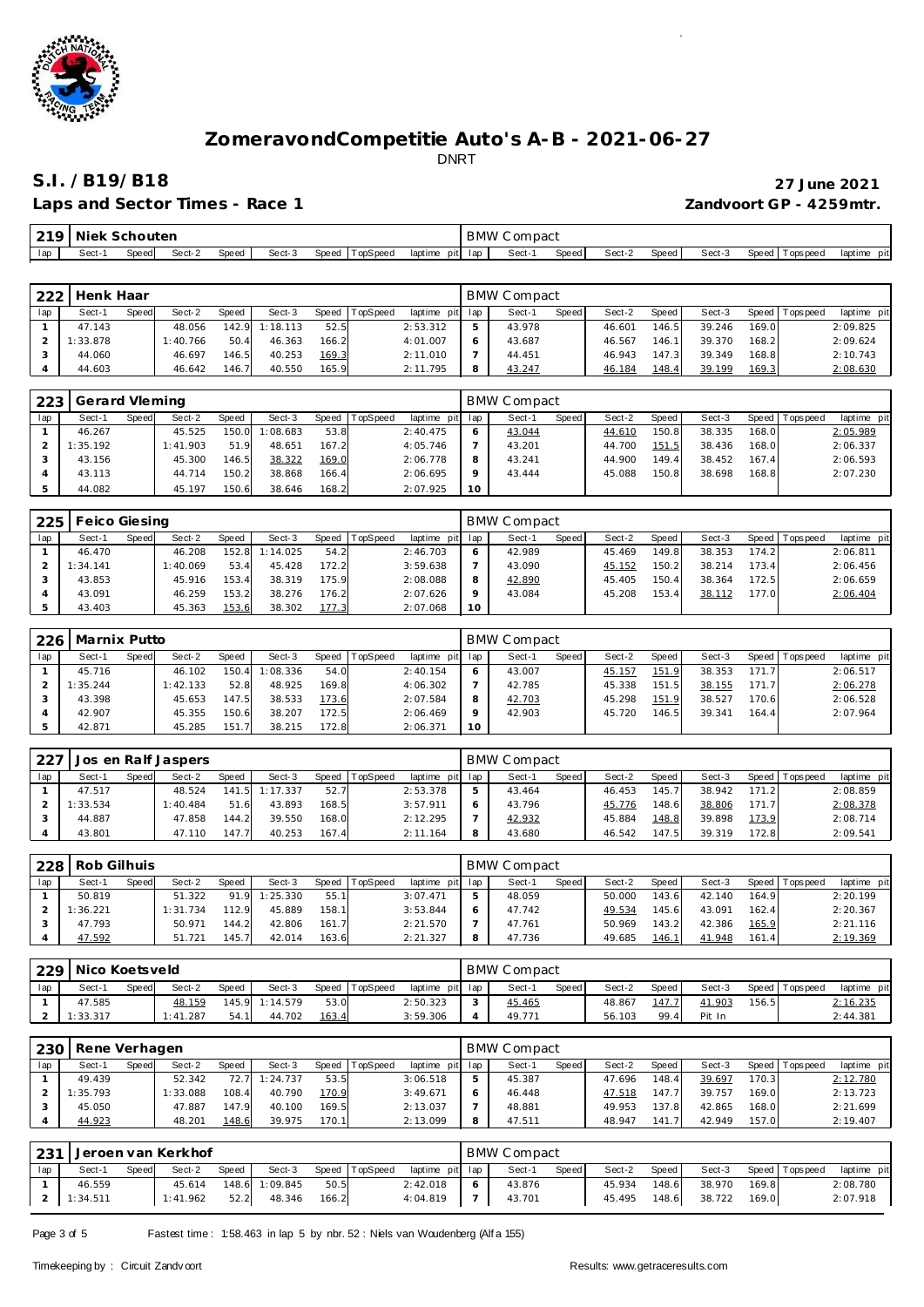

# **S.I. /B19/B18 27 June 2021**

### Laps and Sector Times - Race 1

|                         |  | 27 June 2021 |
|-------------------------|--|--------------|
| Zandvoort GP - 4259mtr. |  |              |

| ∼   | Niek  | nouter<br>$\mathcal{L}$ |        |       |        |       |           |                 | <b>BMW</b> | $\sim$ $\sim$ $\sim$ $\sim$ $\sim$<br>™ ∪ompaul |              |        |              |        |       |          |                |
|-----|-------|-------------------------|--------|-------|--------|-------|-----------|-----------------|------------|-------------------------------------------------|--------------|--------|--------------|--------|-------|----------|----------------|
| lac | Sect- | Speed                   | Sect-2 | Speed | Sect-3 | Speed | TopSpee a | laptime<br>pitl | lan        | Sect-                                           | <b>Speed</b> | Sect-2 | <b>Speed</b> | Sect-3 | Speed | Topspeed | laptime<br>pit |

| 222 | Henk Haar |       |          |       |          |       |                |                 | <b>BMW Compact</b> |       |        |       |        |       |                 |             |
|-----|-----------|-------|----------|-------|----------|-------|----------------|-----------------|--------------------|-------|--------|-------|--------|-------|-----------------|-------------|
| lap | Sect-1    | Speed | Sect-2   | Speed | Sect-3   |       | Speed TopSpeed | laptime pit lap | Sect-1             | Speed | Sect-2 | Speed | Sect-3 |       | Speed Tops peed | laptime pit |
|     | 47.143    |       | 48.056   | 142.9 | 1:18.113 | 52.5  |                | 2:53.312        | 43.978             |       | 46.601 | 146.5 | 39.246 | 169.0 |                 | 2:09.825    |
|     | 1:33.878  |       | 1:40.766 | 50.4  | 46.363   | 166.2 |                | 4:01.007        | 43.687             |       | 46.567 | 146.1 | 39.370 | 168.2 |                 | 2:09.624    |
|     | 44.060    |       | 46.697   | 146.5 | 40.253   | 169.3 |                | 2:11.010        | 44.451             |       | 46.943 | 147.3 | 39.349 | 168.8 |                 | 2:10.743    |
|     | 44.603    |       | 46.642   | 146.7 | 40.550   | 165.9 |                | 2:11.795        | 43.247             |       | 46.184 | 148.4 | 39.199 | 169.3 |                 | 2:08.630    |

| 223 | Gerard Vleming |       |          |       |          |       |          |          |         | BMW Compact |              |        |       |        |       |                 |             |
|-----|----------------|-------|----------|-------|----------|-------|----------|----------|---------|-------------|--------------|--------|-------|--------|-------|-----------------|-------------|
| lap | Sect-1         | Speed | Sect-2   | Speed | Sect-3   | Speed | TopSpeed | laptime  | pit lap | Sect-1      | <b>Speed</b> | Sect-2 | Speed | Sect-3 |       | Speed Tops peed | laptime pit |
|     | 46.267         |       | 45.525   | 150.0 | 1:08.683 | 53.8  |          | 2:40.475 | 6       | 43.044      |              | 44.610 | 150.8 | 38.335 | 168.0 |                 | 2:05.989    |
|     | 1:35.192       |       | 1:41.903 | 51.9  | 48.651   | 167.2 |          | 4:05.746 |         | 43.201      |              | 44.700 | 151.5 | 38.436 | 168.0 |                 | 2:06.337    |
|     | 43.156         |       | 45.300   | 146.5 | 38.322   | 169.0 |          | 2:06.778 |         | 43.241      |              | 44.900 | 149.4 | 38.452 | 167.4 |                 | 2:06.593    |
|     | 43.113         |       | 44.714   | 150.2 | 38.868   | 166.4 |          | 2:06.695 | $\circ$ | 43.444      |              | 45.088 | 150.8 | 38.698 | 168.8 |                 | 2:07.230    |
|     | 44.082         |       | 45.197   | 150.6 | 38.646   | 168.2 |          | 2:07.925 | 10      |             |              |        |       |        |       |                 |             |

| 225 | Feico Giesing |       |          |       |          |       |          |                 |          | <b>BMW Compact</b> |       |        |       |        |       |                  |             |
|-----|---------------|-------|----------|-------|----------|-------|----------|-----------------|----------|--------------------|-------|--------|-------|--------|-------|------------------|-------------|
| lap | Sect-1        | Speed | Sect-2   | Speed | Sect-3   | Speed | TopSpeed | laptime pit lap |          | Sect-1             | Speed | Sect-2 | Speed | Sect-3 | Speed | <b>Tops peed</b> | laptime pit |
|     | 46.470        |       | 46.208   | 152.8 | 1:14.025 | 54.2  |          | 2:46.703        |          | 42.989             |       | 45.469 | 149.8 | 38.353 | 174.2 |                  | 2:06.811    |
|     | 1:34.141      |       | 1:40.069 | 53.4  | 45.428   | 172.2 |          | 3:59.638        |          | 43.090             |       | 45.152 | 150.2 | 38.214 | 173.4 |                  | 2:06.456    |
|     | 43.853        |       | 45.916   | 153.4 | 38.319   | 175.9 |          | 2:08.088        |          | 42.890             |       | 45.405 | 150.4 | 38.364 | 172.5 |                  | 2:06.659    |
|     | 43.091        |       | 46.259   | 153.2 | 38.276   | 176.2 |          | 2:07.626        | $\Omega$ | 43.084             |       | 45.208 | 153.4 | 38.112 | 177.0 |                  | 2:06.404    |
|     | 43.403        |       | 45.363   | 153.6 | 38.302   | 177.3 |          | 2:07.068        | 10       |                    |       |        |       |        |       |                  |             |

| 226 | Marnix Putto |       |          |       |          |       |          |             |         | BMW Compact |              |        |       |        |       |                   |             |
|-----|--------------|-------|----------|-------|----------|-------|----------|-------------|---------|-------------|--------------|--------|-------|--------|-------|-------------------|-------------|
| lap | Sect-1       | Speed | Sect-2   | Speed | Sect-3   | Speed | TopSpeed | laptime pit | lap     | Sect-1      | <b>Speed</b> | Sect-2 | Speed | Sect-3 |       | Speed   Tops peed | laptime pit |
|     | 45.716       |       | 46.102   | 150.4 | 1:08.336 | 54.0  |          | 2:40.154    | 6       | 43.007      |              | 45.157 | 151.9 | 38.353 | 171.7 |                   | 2:06.517    |
|     | 1:35.244     |       | 1:42.133 | 52.8  | 48.925   | 169.8 |          | 4:06.302    |         | 42.785      |              | 45.338 | 151.5 | 38.155 | 171.7 |                   | 2:06.278    |
|     | 43.398       |       | 45.653   | 147.5 | 38.533   | 173.6 |          | 2:07.584    | 8       | 42.703      |              | 45.298 | 151.9 | 38.527 | 170.6 |                   | 2:06.528    |
|     | 42.907       |       | 45.355   | 150.6 | 38.207   | 172.5 |          | 2:06.469    | $\circ$ | 42.903      |              | 45.720 | 146.5 | 39.341 | 164.4 |                   | 2:07.964    |
|     | 42.871       |       | 45.285   | 151.  | 38.215   | 172.8 |          | 2:06.371    | 10      |             |              |        |       |        |       |                   |             |

| 227 |          |       | Jos en Ralf Jaspers |       |          |       |            |             |     | <b>BMW Compact</b> |       |        |       |        |       |                 |             |
|-----|----------|-------|---------------------|-------|----------|-------|------------|-------------|-----|--------------------|-------|--------|-------|--------|-------|-----------------|-------------|
| lap | Sect-1   | Speed | Sect-2              | Speed | Sect-3   | Speed | I TopSpeed | laptime pit | lap | Sect-              | Speed | Sect-2 | Speed | Sect-3 |       | Speed Tops peed | laptime pit |
|     | 47.517   |       | 48.524              | 1415  | 1:17.337 | 52.7  |            | 2:53.378    |     | 43.464             |       | 46.453 | 145.7 | 38.942 | 171.2 |                 | 2:08.859    |
|     | 1:33.534 |       | 1:40.484            | 51.6  | 43.893   | 168.5 |            | 3:57.911    |     | 43.796             |       | 45.776 | 148.6 | 38.806 | 171.7 |                 | 2:08.378    |
|     | 44.887   |       | 47.858              | 144.2 | 39.550   | 168.0 |            | 2:12.295    |     | 42.932             |       | 45.884 | 148.8 | 39.898 | 173.9 |                 | 2:08.714    |
|     | 43.801   |       | 47.110              | 147.  | 40.253   | 167.4 |            | 2:11.164    | 8   | 43.680             |       | 46.542 | 147.5 | 39.319 | 172.8 |                 | 2:09.541    |

| 228 | Rob Gilhuis |       |          |       |          |       |          |                |     | <b>BMW Compact</b> |       |        |       |        |       |                 |             |
|-----|-------------|-------|----------|-------|----------|-------|----------|----------------|-----|--------------------|-------|--------|-------|--------|-------|-----------------|-------------|
| lap | Sect-1      | Speed | Sect-2   | Speed | Sect-3   | Speed | TopSpeed | laptime<br>pit | lap | Sect-              | Speed | Sect-2 | Speed | Sect-3 |       | Speed Tops peed | laptime pit |
|     | 50.819      |       | 51.322   | 91.9  | 1:25.330 | 55.1  |          | 3:07.471       | 5   | 48.059             |       | 50.000 | 143.6 | 42.140 | 164.9 |                 | 2:20.199    |
|     | 1:36.221    |       | 1:31.734 | 112.9 | 45.889   | 158.1 |          | 3:53.844       | 6   | 47.742             |       | 49.534 | 145.6 | 43.091 | 162.4 |                 | 2:20.367    |
|     | 47.793      |       | 50.971   | 144.2 | 42.806   | 161.7 |          | 2:21.570       |     | 47.761             |       | 50.969 | 143.2 | 42.386 | 165.9 |                 | 2:21.116    |
|     | 47.592      |       | 51.721   | 145.7 | 42.014   | 163.6 |          | 2:21.327       | 8   | 47.736             |       | 49.685 | 146.1 | 41.948 | 161.4 |                 | 2:19.369    |

| 229 | Nico Koetsveld |       |          |       |                |              |          |                 | <b>BMW Compact</b> |       |        |       |        |       |                 |             |
|-----|----------------|-------|----------|-------|----------------|--------------|----------|-----------------|--------------------|-------|--------|-------|--------|-------|-----------------|-------------|
| lap | Sect-1         | Speed | Sect-2   | Speed | Sect-3         | <b>Speed</b> | TopSpeed | laptime pit lap | Sect-1             | Speed | Sect-2 | Speed | Sect-3 |       | Speed Tops peed | laptime pit |
|     | 47.585         |       | 48.159   |       | 145.9 1:14.579 | 53.0         |          | 2:50.323        | 45.465             |       | 48.867 | 147.7 | 41.903 | 156.5 |                 | 2:16.235    |
|     | 1:33.317       |       | 1:41.287 | 54.1  | 44.702         | 163.4        |          | 3:59.306        | 49.771             |       | 56.103 | 99.4  | Pit In |       |                 | 2:44.381    |

| 230 | Rene Verhagen |       |          |       |          |              |          |                 |   | <b>BMW Compact</b> |              |        |       |        |       |                   |             |
|-----|---------------|-------|----------|-------|----------|--------------|----------|-----------------|---|--------------------|--------------|--------|-------|--------|-------|-------------------|-------------|
| lap | Sect-1        | Speed | Sect-2   | Speed | Sect-3   | <b>Speed</b> | TopSpeed | laptime pit lap |   | Sect-1             | <b>Speed</b> | Sect-2 | Speed | Sect-3 |       | Speed   Tops peed | laptime pit |
|     | 49.439        |       | 52.342   | 72.7  | 1:24.737 | 53.5         |          | 3:06.518        |   | 45.387             |              | 47.696 | 48.4  | 39.697 | 170.3 |                   | 2:12.780    |
|     | 1:35.793      |       | 1:33.088 | 108.4 | 40.790   | 170.9        |          | 3:49.671        |   | 46.448             |              | 47.518 | 47.7  | 39.757 | 169.0 |                   | 2:13.723    |
|     | 45.050        |       | 47.887   | 147.9 | 40.100   | 169.5        |          | 2:13.037        |   | 48.881             |              | 49.953 | 137.8 | 42.865 | 168.0 |                   | 2:21.699    |
|     | 44.923        |       | 48.201   | 148.6 | 39.975   | 170.1        |          | 2:13.099        | 8 | 47.511             |              | 48.947 |       | 42.949 | 157.0 |                   | 2:19.407    |

|     | 1231   Jeroen van Kerkhof<br>Sect-2<br>Sect-3<br>Speed<br>Speed<br>Speed<br>TopSpeed<br>Sect-1 |  |          |      |                |       |  |                 | <b>BMW Compact</b> |       |        |         |        |       |                   |             |
|-----|------------------------------------------------------------------------------------------------|--|----------|------|----------------|-------|--|-----------------|--------------------|-------|--------|---------|--------|-------|-------------------|-------------|
| lap |                                                                                                |  |          |      |                |       |  | laptime pit lap | Sect-1             | Speed | Sect-2 | Speed I | Sect-3 |       | Speed   Tops peed | laptime pit |
|     | 46.559                                                                                         |  | 45.614   |      | 148.6 1:09.845 | 50.5  |  | 2:42.018        | 43.876             |       | 45.934 | 148.6   | 38.970 | 169.8 |                   | 2:08.780    |
|     | 1:34.511                                                                                       |  | 1:41.962 | 52.2 | 48.346         | 166.2 |  | 4:04.819        | 43.701             |       | 45.495 | 148.6   | 38.722 | 169.0 |                   | 2:07.918    |

Page 3 of 5 Fastest time: 1:58.463 in lap 5 by nbr. 52 : Niels van Woudenberg (Alf a 155)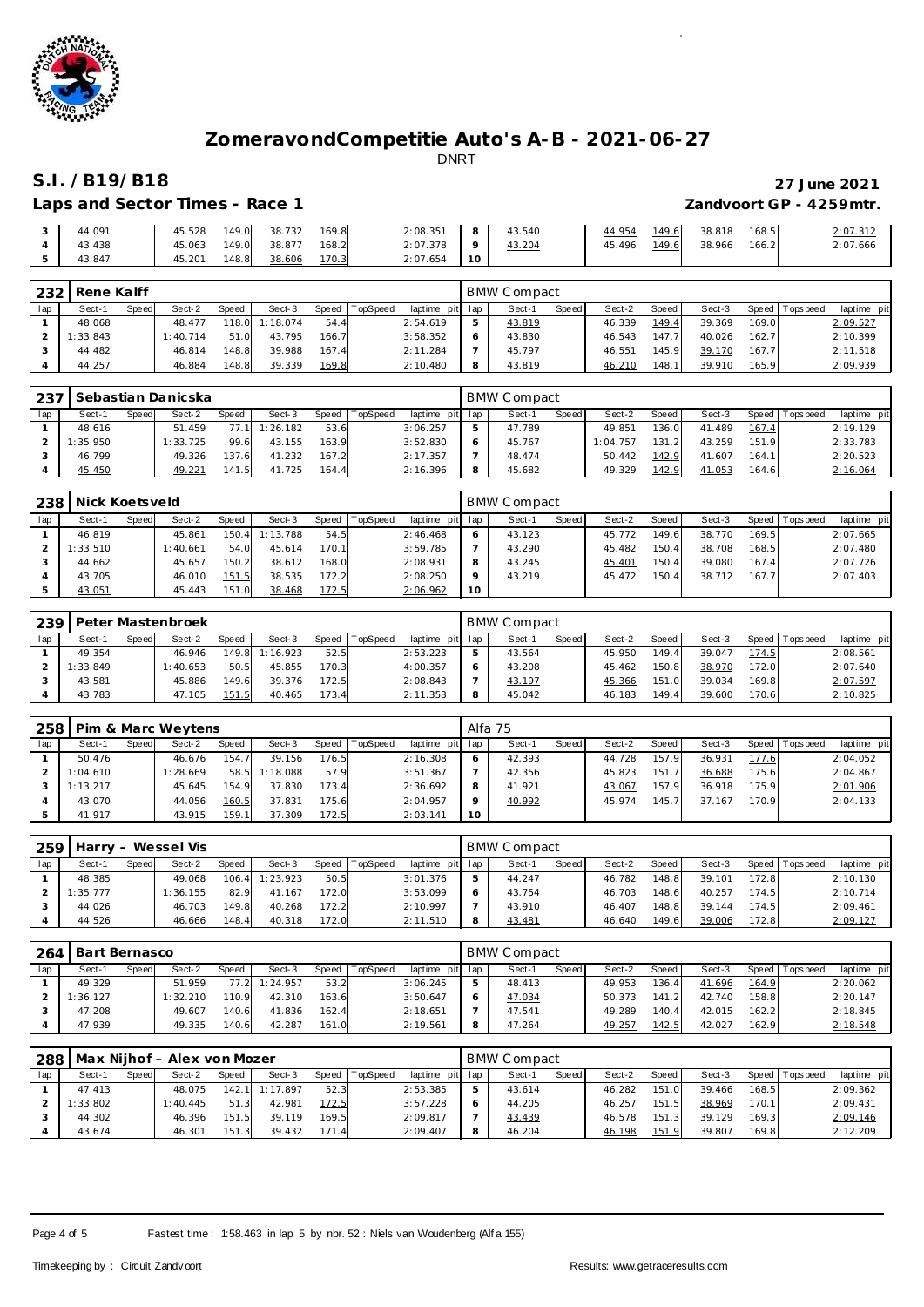

## **S.I. /B19/B18 27 June 2021** Laps and Sector Times - Race 1 *Zandvoort GP - 4259mtr.*

|                | 3 44.091 |  | 45.528  149.0  38.732  169.8 |       | $2:08.351$ 8 43.540 |               |              | 44.954 149.6 38.818 168.5 | 2:07.312 |
|----------------|----------|--|------------------------------|-------|---------------------|---------------|--------------|---------------------------|----------|
|                | 4 43.438 |  | 45.063 149.0 38.877          | 168.2 | $2:07.378$ 9        | <u>43.204</u> | 45.496 149.6 | 38.966 166.2              | 2:07.666 |
| 5 <sub>1</sub> | 43.847   |  | 45.201  148.8 <u>38.606</u>  | 170.3 | $2:07.654$ 10       |               |              |                           |          |

| 232 | Rene Kalff |       |          |       |          |       |          |             |     | <b>BMW Compact</b> |       |        |        |        |         |             |             |
|-----|------------|-------|----------|-------|----------|-------|----------|-------------|-----|--------------------|-------|--------|--------|--------|---------|-------------|-------------|
| lap | Sect-1     | Speed | Sect-2   | Speed | Sect-3   | Speed | TopSpeed | laptime pit | lap | Sect-1             | Speed | Sect-2 | Speed  | Sect-3 | Speed I | T ops pee d | laptime pit |
|     | 48.068     |       | 48.477   | 118.0 | 1:18.074 | 54.4  |          | 2:54.619    | 5   | 43.819             |       | 46.339 | 149.4  | 39.369 | 169.0   |             | 2:09.527    |
|     | 1:33.843   |       | 1:40.714 | 51.0  | 43.795   | 166.7 |          | 3:58.352    | 6   | 43.830             |       | 46.543 | 147.71 | 40.026 | 162.7   |             | 2:10.399    |
|     | 44.482     |       | 46.814   | 148.8 | 39.988   | 167.4 |          | 2:11.284    |     | 45.797             |       | 46.551 | 145.9  | 39.170 | 167.7   |             | 2:11.518    |
|     | 44.257     |       | 46.884   | 148.8 | 39.339   | 169.8 |          | 2:10.480    | 8   | 43.819             |       | 46.210 | 148.1  | 39.910 | 165.9   |             | 2:09.939    |

| 237 |          |       | Sebastian Danicska |       |          |       |          |                 | <b>BMW Compact</b> |       |          |       |        |       |                 |             |
|-----|----------|-------|--------------------|-------|----------|-------|----------|-----------------|--------------------|-------|----------|-------|--------|-------|-----------------|-------------|
| lap | Sect-1   | Speed | Sect-2             | Speed | Sect-3   | Speed | TopSpeed | laptime pit lap | Sect-1             | Speed | Sect-2   | Speed | Sect-3 |       | Speed Tops peed | laptime pit |
|     | 48.616   |       | 51.459             | 77 11 | 1:26.182 | 53.6  |          | 3:06.257        | 47.789             |       | 49.851   | 136.0 | 41.489 | 167.4 |                 | 2:19.129    |
|     | 1:35.950 |       | 1:33.725           | 99.6  | 43.155   | 163.9 |          | 3:52.830        | 45.767             |       | 1:04.757 | 131.2 | 43.259 | 151.9 |                 | 2:33.783    |
|     | 46.799   |       | 49.326             | 137.6 | 41.232   | 167.2 |          | 2:17.357        | 48.474             |       | 50.442   | 142.9 | 41.607 | 164.1 |                 | 2:20.523    |
|     | 45.450   |       | 49.221             | 141.5 | 41.725   | 164.4 |          | 2:16.396        | 45.682             |       | 49.329   | 142.9 | 41.053 | 164.6 |                 | 2:16.064    |

| 238 | Nick Koetsveld |       |          |       |          |        |          |                 |         | BMW Compact |       |        |                    |        |       |                 |             |
|-----|----------------|-------|----------|-------|----------|--------|----------|-----------------|---------|-------------|-------|--------|--------------------|--------|-------|-----------------|-------------|
| lap | Sect-1         | Speed | Sect-2   | Speed | Sect-3   | Speed  | TopSpeed | laptime pit lap |         | Sect-1      | Speed | Sect-2 | Speed              | Sect-3 |       | Speed Tops peed | laptime pit |
|     | 46.819         |       | 45.861   | 150.4 | 1:13.788 | 54.5   |          | 2:46.468        | $\circ$ | 43.123      |       | 45.772 | 149.6              | 38.770 | 169.5 |                 | 2:07.665    |
|     | 1:33.510       |       | 1:40.661 | 54.0  | 45.614   | 170.11 |          | 3:59.785        |         | 43.290      |       | 45.482 | 150.4 <sub>1</sub> | 38.708 | 168.5 |                 | 2:07.480    |
|     | 44.662         |       | 45.657   | 150.2 | 38.612   | 168.0  |          | 2:08.931        | 8       | 43.245      |       | 45.401 | 150.4              | 39.080 | 167.4 |                 | 2:07.726    |
|     | 43.705         |       | 46.010   | 151.5 | 38.535   | 172.2  |          | 2:08.250        | $\circ$ | 43.219      |       | 45.472 | 150.4 <sub>1</sub> | 38.712 | 167.7 |                 | 2:07.403    |
|     | 43.051         |       | 45.443   | 151.0 | 38.468   | 172.5  |          | 2:06.962        | 10      |             |       |        |                    |        |       |                 |             |

| 239 |          |       | Peter Mastenbroek |              |          |       |          |                 |   | <b>BMW Compact</b> |       |        |       |        |       |                 |             |
|-----|----------|-------|-------------------|--------------|----------|-------|----------|-----------------|---|--------------------|-------|--------|-------|--------|-------|-----------------|-------------|
| lap | Sect-1   | Speed | Sect-2            | <b>Speed</b> | Sect-3   | Speed | TopSpeed | laptime pit lap |   | Sect-1             | Speed | Sect-2 | Speed | Sect-3 |       | Speed Tops peed | laptime pit |
|     | 49.354   |       | 46.946            | 149.8        | 1:16.923 | 52.5  |          | 2:53.223        | ь | 43.564             |       | 45.950 | 149.4 | 39.047 | 174.5 |                 | 2:08.561    |
|     | 1:33.849 |       | I: 40.653         | 50.5         | 45.855   | 170.3 |          | 4:00.357        |   | 43.208             |       | 45.462 | 150.8 | 38.970 | 172.0 |                 | 2:07.640    |
|     | 43.581   |       | 45.886            | 149.6        | 39.376   | 172.5 |          | 2:08.843        |   | 43.197             |       | 45.366 | 151.0 | 39.034 | 169.8 |                 | 2:07.597    |
|     | 43.783   |       | 47.105            | 151.5        | 40.465   | 173.4 |          | 2:11.353        | 8 | 45.042             |       | 46.183 | 149.4 | 39.600 | 170.6 |                 | 2:10.825    |

| 258 |          |       | Pim & Marc Weytens |       |          |           |          |                 |    | Alfa 75 |       |        |       |        |       |                 |             |
|-----|----------|-------|--------------------|-------|----------|-----------|----------|-----------------|----|---------|-------|--------|-------|--------|-------|-----------------|-------------|
| lap | Sect-1   | Speed | Sect-2             | Speed | Sect-3   | Speed   T | TopSpeed | laptime pit lap |    | Sect-1  | Speed | Sect-2 | Speed | Sect-3 |       | Speed Tops peed | laptime pit |
|     | 50.476   |       | 46.676             | 154.7 | 39.156   | 176.5     |          | 2:16.308        |    | 42.393  |       | 44.728 | 157.9 | 36.931 | 177.6 |                 | 2:04.052    |
|     | 1:04.610 |       | 1:28.669           | 58.5  | 1:18.088 | 57.9      |          | 3:51.367        |    | 42.356  |       | 45.823 | 151.7 | 36.688 | 175.6 |                 | 2:04.867    |
|     | 1:13.217 |       | 45.645             | 154.9 | 37.830   | 173.4     |          | 2:36.692        |    | 41.921  |       | 43.067 | 157.9 | 36.918 | 175.9 |                 | 2:01.906    |
|     | 43.070   |       | 44.056             | 160.5 | 37.831   | 175.6     |          | 2:04.957        |    | 40.992  |       | 45.974 | 145.7 | 37.167 | 170.9 |                 | 2:04.133    |
|     | 41.917   |       | 43.915             | 159.1 | 37.309   | 172.5     |          | 2:03.141        | 10 |         |       |        |       |        |       |                 |             |

| 259 |          |       | Harry - Wessel Vis |       |          |       |          |                 | <b>BMW Compact</b> |              |        |       |        |       |                 |             |
|-----|----------|-------|--------------------|-------|----------|-------|----------|-----------------|--------------------|--------------|--------|-------|--------|-------|-----------------|-------------|
| lap | Sect-1   | Speed | Sect-2             | Speed | Sect-3   | Speed | TopSpeed | laptime pit lap | Sect-1             | <b>Speed</b> | Sect-2 | Speed | Sect-3 |       | Speed Tops peed | laptime pit |
|     | 48.385   |       | 49.068             | 106.4 | 1:23.923 | 50.5  |          | 3:01.376        | 44.247             |              | 46.782 | 148.8 | 39.101 | 172.8 |                 | 2:10.130    |
|     | 1:35.777 |       | 1:36.155           | 82.9  | 41.167   | 172.0 |          | 3:53.099        | 43.754             |              | 46.703 | 148.6 | 40.257 | 174.5 |                 | 2:10.714    |
|     | 44.026   |       | 46.703             | 149.8 | 40.268   | 172.2 |          | 2:10.997        | 43.910             |              | 46.407 | 148.8 | 39.144 | 174.5 |                 | 2:09.461    |
|     | 44.526   |       | 46.666             | 148.4 | 40.318   | 172.0 |          | 2:11.510        | 43.481             |              | 46.640 | 149.6 | 39.006 | 172.8 |                 | 2:09.127    |

| 264 | Bart Bernasco |       |          |       |        |       |          |                 | <b>BMW Compact</b> |              |        |                      |        |       |                 |             |
|-----|---------------|-------|----------|-------|--------|-------|----------|-----------------|--------------------|--------------|--------|----------------------|--------|-------|-----------------|-------------|
| lap | Sect-1        | Speed | Sect-2   | Speed | Sect-3 | Speed | TopSpeed | laptime pit lap | Sect-1             | <b>Speed</b> | Sect-2 | Speed                | Sect-3 |       | Speed Tops peed | laptime pit |
|     | 49.329        |       | 51.959   | 77.2  | 24.957 | 53.2  |          | 3:06.245        | 48.413             |              | 49.953 | 136.4 <sub>1</sub>   | 41.696 | 164.9 |                 | 2:20.062    |
|     | 1:36.127      |       | 1:32.210 | 110.9 | 42.310 | 163.6 |          | 3:50.647        | 47.034             |              | 50.373 | 141<br>$\mathcal{L}$ | 42.740 | 158.8 |                 | 2:20.147    |
|     | 47.208        |       | 49.607   | 140.6 | 41.836 | 162.4 |          | 2:18.651        | 47.541             |              | 49.289 | 140.4                | 42.015 | 162.2 |                 | 2:18.845    |
|     | 47.939        |       | 49.335   | 140.6 | 42.287 | 161.0 |          | 2:19.561        | 47.264             |              | 49.257 | 142.5                | 42.027 | 162.9 |                 | 2:18.548    |

|     | 288   Max Nijhof - Alex von Mozer |       |          |       |                |       |                |                 |  | <b>BMW Compact</b> |       |        |         |        |       |                   |             |  |  |  |
|-----|-----------------------------------|-------|----------|-------|----------------|-------|----------------|-----------------|--|--------------------|-------|--------|---------|--------|-------|-------------------|-------------|--|--|--|
| lap | Sect-1                            | Speed | Sect-2   | Speed | Sect-3         |       | Speed TopSpeed | laptime pit lap |  | Sect-1             | Speed | Sect-2 | Speed I | Sect-3 |       | Speed   Tops peed | laptime pit |  |  |  |
|     | 47.413                            |       | 48.075   |       | 142.1 1:17.897 | 52.3  |                | 2:53.385        |  | 43.614             |       | 46.282 | 151.0   | 39.466 | 168.5 |                   | 2:09.362    |  |  |  |
|     | 1:33.802                          |       | 1:40.445 | 51.3  | 42.981         | 172.5 |                | 3:57.228        |  | 44.205             |       | 46.257 | 151.5   | 38.969 | 170.1 |                   | 2:09.431    |  |  |  |
|     | 44.302                            |       | 46.396   | 151.5 | 39.119         | 169.5 |                | 2:09.817        |  | 43.439             |       | 46.578 | 151.3   | 39.129 | 169.3 |                   | 2:09.146    |  |  |  |
|     | 43.674                            |       | 46.301   | 151.3 | 39.432         | 171.4 |                | 2:09.407        |  | 46.204             |       | 46.198 | 151.9   | 39.807 | 169.8 |                   | 2:12.209    |  |  |  |